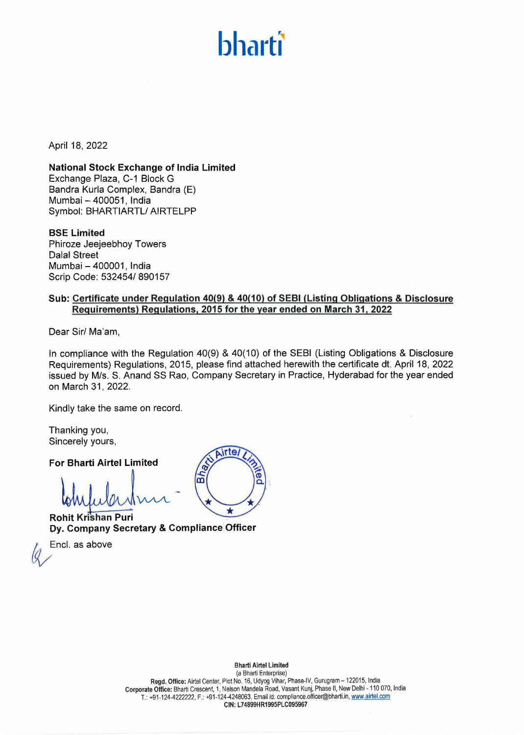## hharti

April 18, 2022

**National Stock Exchange of India Limited**  Exchange Plaza, C-1 Block G Sandra Kurla Complex, Sandra (E) Mumbai - 400051, India Symbol: BHARTIARTL/ AIRTELPP

**BSE Limited**  Phiroze Jeejeebhoy Towers Dalal Street Mumbai - 400001, India Scrip Code: 532454/ 890157

## **Sub: Certificate under Regulation 40(9)** & **40(10) of SEBI (Listing Obligations** & **Disclosure Requirements) Regulations, 2015 for the year ended on March 31, 2022**

Dear Sir/ Ma'am,

In compliance with the Regulation 40(9) & 40(10) of the SEBI (Listing Obligations & Disclosure Requirements) Regulations, 2015, please find attached herewith the certificate dt. April 18, 2022 issued by M/s. S. Anand SS Rao, Company Secretary in Practice, Hyderabad for the year ended on March 31, 2022.

Kindly take the same on record.

Thanking you, Sincerely yours,

**For Bharti Airtel Limited** 

 $M$ 

**Rohit Krishan Puri Dy. Company Secretary** & **Compliance Officer** 

Encl. as above